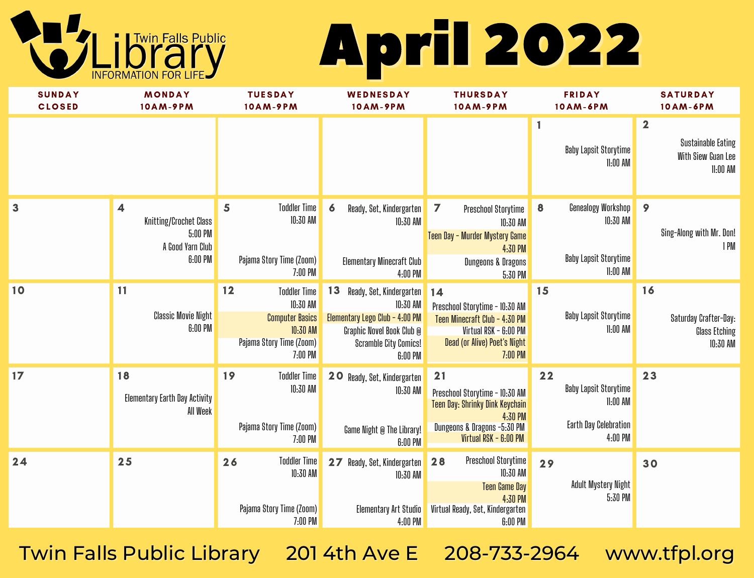# April 2022



| <b>SUNDAY</b><br><b>CLOSED</b> | <b>MONDAY</b><br>10AM-9PM                                                                   | <b>TUESDAY</b><br>10AM-9PM                                                                                         | WEDNESDAY<br>10AM-9PM                                                                                                                           | <b>THURSDAY</b><br>10AM-9PM                                                                                                                | <b>FRIDAY</b><br>10AM-6PM                                                         | <b>SATURDAY</b><br>10AM-6PM                                                 |
|--------------------------------|---------------------------------------------------------------------------------------------|--------------------------------------------------------------------------------------------------------------------|-------------------------------------------------------------------------------------------------------------------------------------------------|--------------------------------------------------------------------------------------------------------------------------------------------|-----------------------------------------------------------------------------------|-----------------------------------------------------------------------------|
|                                |                                                                                             |                                                                                                                    |                                                                                                                                                 |                                                                                                                                            | 1<br>Baby Lapsit Storytime<br>$11:00$ AM                                          | $\mathbf{2}$<br><b>Sustainable Eating</b><br>With Siew Guan Lee<br>11:00 AM |
| 3                              | $\overline{\mathbf{4}}$<br>Knitting/Crochet Class<br>5:00 PM<br>A Good Yarn Club<br>6:00 PM | <b>Toddler Time</b><br>5<br>10:30 AM<br>Pajama Story Time (Zoom)<br>7:00 PM                                        | $\boldsymbol{6}$<br>Ready, Set, Kindergarten<br>10:30 AM<br>Elementary Minecraft Club<br>4:00 PM                                                | $\overline{ }$<br>Preschool Storytime<br>10:30 AM<br>Teen Day - Murder Mystery Game<br>4:30 PM<br>Dungeons & Dragons<br>5:30 PM            | Genealogy Workshop<br>$\bf{8}$<br>10:30 AM<br>Baby Lapsit Storytime<br>$11:00$ AM | 9<br>Sing-Along with Mr. Don!<br>1 PM                                       |
| 10                             | 11<br><b>Classic Movie Night</b><br>6:00 PM                                                 | 12<br><b>Toddler Time</b><br>10:30 AM<br><b>Computer Basics</b><br>10:30 AM<br>Pajama Story Time (Zoom)<br>7:00 PM | 13<br>Ready, Set, Kindergarten<br>10:30 AM<br>Elementary Lego Club - 4:00 PM<br>Graphic Novel Book Club @<br>Scramble City Comics!<br>$6:00$ PM | 14<br>Preschool Storytime - 10:30 AM<br>Teen Minecraft Club - 4:30 PM<br>Virtual RSK - 6:00 PM<br>Dead (or Alive) Poet's Night<br>7:00 PM  | 15<br>Baby Lapsit Storytime<br>$11:00$ AM                                         | 16<br>Saturday Crafter-Day:<br>Glass Etching<br>10:30 AM                    |
| 17                             | 18<br>Elementary Earth Day Activity<br>All Week                                             | 19<br><b>Toddler Time</b><br>10:30 AM<br>Pajama Story Time (Zoom)<br>7:00 PM                                       | 20<br>Ready, Set, Kindergarten<br>10:30 AM<br>Game Night @ The Library!<br>6:00 PM                                                              | 21<br>Preschool Storytime - 10:30 AM<br>Teen Day: Shrinky Dink Keychain<br>4:30 PM<br>Dungeons & Dragons -5:30 PM<br>Virtual RSK - 6:00 PM | 22<br>Baby Lapsit Storytime<br>11:00 AM<br>Earth Day Celebration<br>4:00 PM       | 23                                                                          |
| 24                             | 25                                                                                          | <b>Toddler Time</b><br>26<br>10:30 AM<br>Pajama Story Time (Zoom)<br>7:00 PM                                       | Ready, Set, Kindergarten<br>27<br>10:30 AM<br>Elementary Art Studio<br>4:00 PM                                                                  | Preschool Storytime<br>28<br>10:30 AM<br><b>Teen Game Day</b><br>4:30 PM<br>Virtual Ready, Set, Kindergarten<br>6:00 PM                    | 29<br>Adult Mystery Night<br>5:30 PM                                              | 30                                                                          |

Twin Falls Public Library 201 4th Ave E 208-733-2964 www.tfpl.org